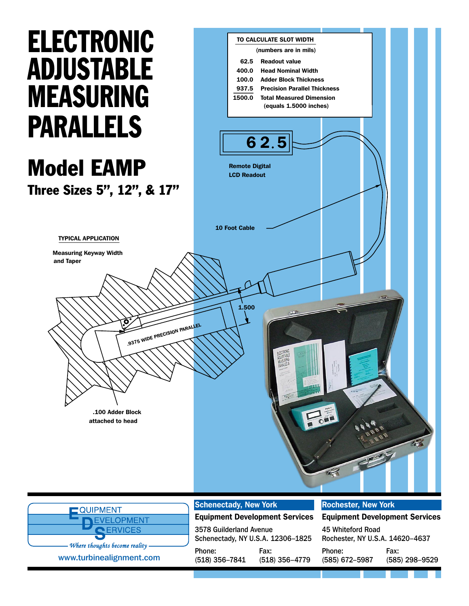# **ELECTRONIC** Adjustable **MEASURING** Parallels

#### Model EAMP Three Sizes 5", 12", & 17"

TYPICAL APPLICATION Measuring Keyway Width

and Taper

.9375 WIDE PRECISION PARALLEL 1.500 10 Foot Cable Remote Digital LCD Readout Readout value Head Nominal Width Adder Block Thickness Precision Parallel Thickness 62.5 400.0 100.0 937.5 1500.0 TO CALCULATE SLOT WIDTH (numbers are in mils) Total Measured Dimension (equals 1.5000 inches) 6 2.5

| <b>COUPMENT</b>               |  |  |
|-------------------------------|--|--|
| <b>NEVELOPMENT</b>            |  |  |
| CERVICES                      |  |  |
| Where thoughts become reality |  |  |
|                               |  |  |
| www.turbinealignment.com      |  |  |

.100 Adder Block

attached to head

#### Schenectady, New York

| <b>INEVELOPMENT</b>                                                          |                                   | <b>Equipment Development Services Equipment Development Services</b> |                                 |                        |
|------------------------------------------------------------------------------|-----------------------------------|----------------------------------------------------------------------|---------------------------------|------------------------|
| <b>PERVICES</b>                                                              | 3578 Guilderland Avenue           |                                                                      | 45 Whiteford Road               |                        |
| $\sim$ $\sim$<br>- Where thoughts become reality<br>www.turbinealignment.com | Schenectady, NY U.S.A. 12306-1825 |                                                                      | Rochester, NY U.S.A. 14620-4637 |                        |
|                                                                              | Phone:<br>$(518)$ 356-7841        | Fax:<br>$(518)$ 356-4779                                             | Phone:<br>(585) 672-5987        | Fax:<br>(585) 298-9529 |

#### Rochester, New York

| <b>Equipment Development Services</b> |                |  |  |  |
|---------------------------------------|----------------|--|--|--|
| 45 Whiteford Road                     |                |  |  |  |
| Rochester, NY U.S.A. 14620-4637       |                |  |  |  |
| Phone:                                | Fax:           |  |  |  |
| (585) 672-5987                        | (585) 298-9529 |  |  |  |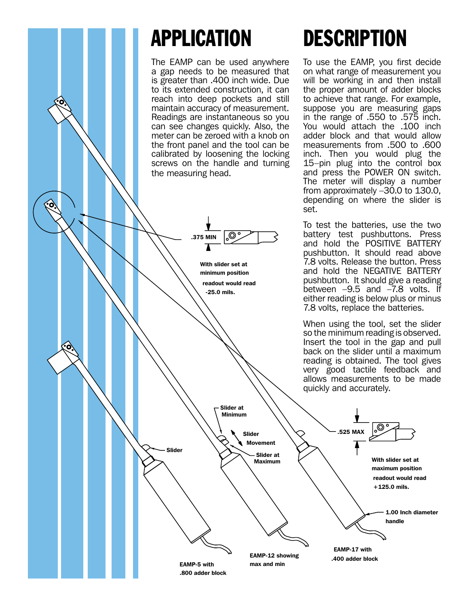### Application

The EAMP can be used anywhere a gap needs to be measured that is greater than .400 inch wide. Due to its extended construction, it can reach into deep pockets and still maintain accuracy of measurement. Readings are instantaneous so you can see changes quickly. Also, the meter can be zeroed with a knob on the front panel and the tool can be calibrated by loosening the locking screws on the handle and turning the measuring head.



### **DESCRIPTION**

To use the EAMP, you first decide on what range of measurement you will be working in and then install the proper amount of adder blocks to achieve that range. For example, suppose you are measuring gaps in the range of .550 to .575 inch. You would attach the .100 inch adder block and that would allow measurements from .500 to .600 inch. Then you would plug the 15–pin plug into the control box and press the POWER ON switch. The meter will display a number from approximately –30.0 to 130.0, depending on where the slider is

To test the batteries, use the two battery test pushbuttons. Press and hold the POSITIVE BATTERY pushbutton. It should read above 7.8 volts. Release the button. Press and hold the NEGATIVE BATTERY pushbutton. It should give a reading between –9.5 and –7.8 volts. If either reading is below plus or minus 7.8 volts, replace the batteries.

When using the tool, set the slider so the minimum reading is observed. Insert the tool in the gap and pull back on the slider until a maximum reading is obtained. The tool gives very good tactile feedback and allows measurements to be made quickly and accurately.

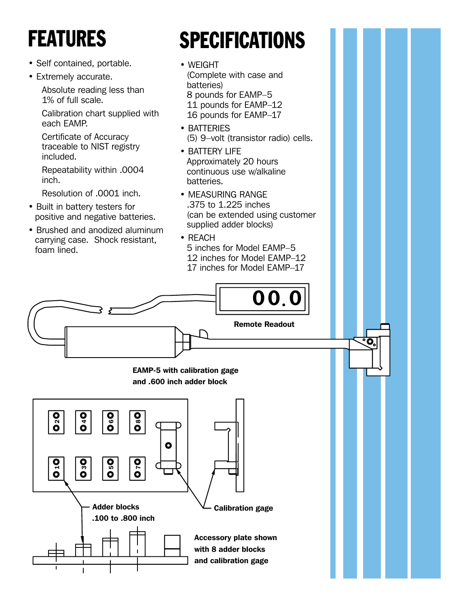## **FEATURES**

- Self contained, portable.
- Extremely accurate.

Absolute reading less than 1% of full scale.

Calibration chart supplied with each EAMP.

Certificate of Accuracy traceable to NIST registry included.

Repeatability within .0004 inch.

Resolution of .0001 inch.

- Built in battery testers for positive and negative batteries.
- Brushed and anodized aluminum carrying case. Shock resistant, foam lined.

## **SPECIFICATIONS**

- WEIGHT (Complete with case and batteries) 8 pounds for EAMP–5 11 pounds for EAMP–12 16 pounds for EAMP–17
- BATTERIES (5) 9–volt (transistor radio) cells.
- BATTERY LIFE Approximately 20 hours continuous use w/alkaline batteries.
- MEASURING RANGE .375 to 1.225 inches (can be extended using customer supplied adder blocks)
- REACH

5 inches for Model EAMP–5 12 inches for Model EAMP–12 17 inches for Model EAMP–17

O,



EAMP-5 with calibration gage and .600 inch adder block